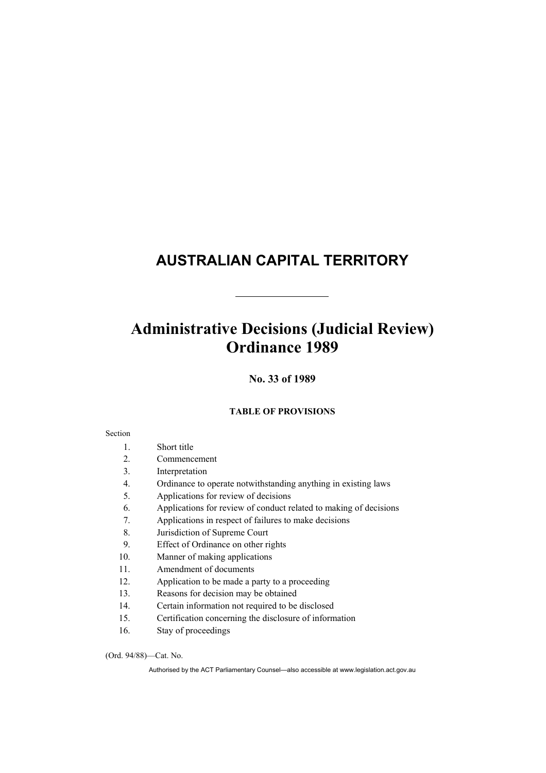# **AUSTRALIAN CAPITAL TERRITORY**

# **Administrative Decisions (Judicial Review) Ordinance 1989**

**No. 33 of 1989** 

# **TABLE OF PROVISIONS**

#### Section

- 1. Short title
- 2. Commencement
- 3. Interpretation
- 4. Ordinance to operate notwithstanding anything in existing laws
- 5. Applications for review of decisions
- 6. Applications for review of conduct related to making of decisions
- 7. Applications in respect of failures to make decisions
- 8. Jurisdiction of Supreme Court
- 9. Effect of Ordinance on other rights
- 10. Manner of making applications
- 11. Amendment of documents
- 12. Application to be made a party to a proceeding
- 13. Reasons for decision may be obtained
- 14. Certain information not required to be disclosed
- 15. Certification concerning the disclosure of information
- 16. Stay of proceedings

(Ord. 94/88)—Cat. No.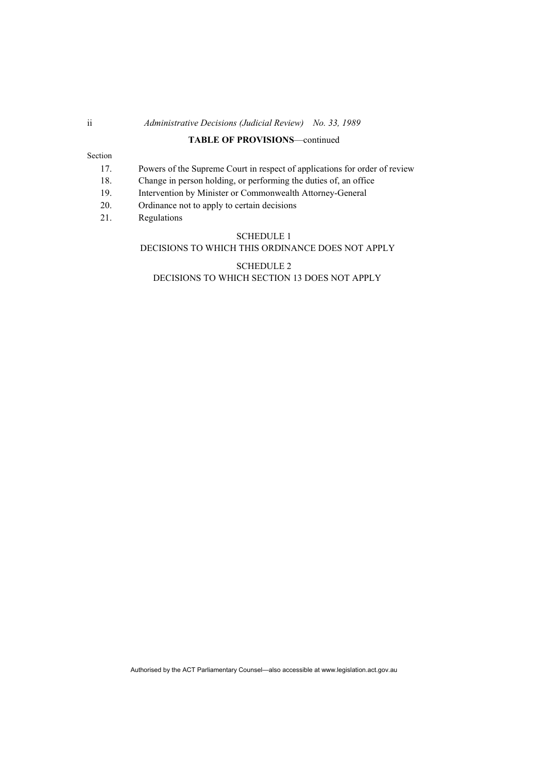#### **TABLE OF PROVISIONS**—continued

# Section

- 17. Powers of the Supreme Court in respect of applications for order of review
- 18. Change in person holding, or performing the duties of, an office
- 19. Intervention by Minister or Commonwealth Attorney-General
- 20. Ordinance not to apply to certain decisions
- 21. Regulations

# SCHEDULE 1

# DECISIONS TO WHICH THIS ORDINANCE DOES NOT APPLY

# SCHEDULE 2 DECISIONS TO WHICH SECTION 13 DOES NOT APPLY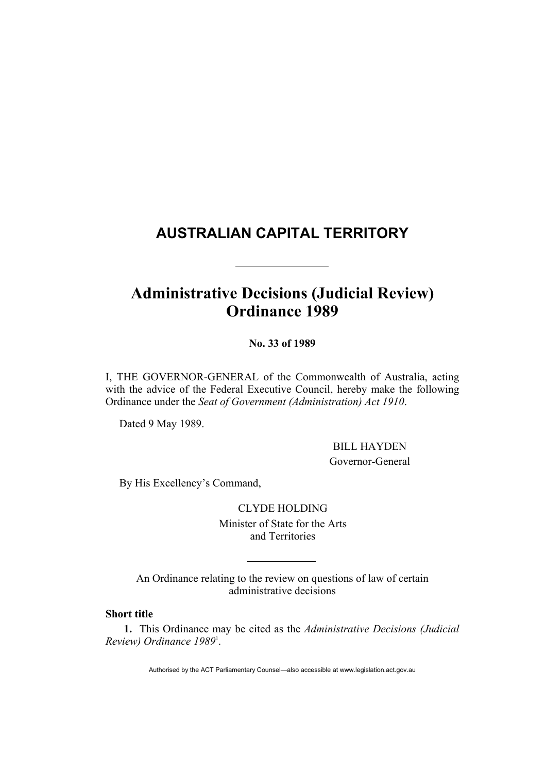# **AUSTRALIAN CAPITAL TERRITORY**

# **Administrative Decisions (Judicial Review) Ordinance 1989**

**No. 33 of 1989** 

I, THE GOVERNOR-GENERAL of the Commonwealth of Australia, acting with the advice of the Federal Executive Council, hereby make the following Ordinance under the *Seat of Government (Administration) Act 1910*.

Dated 9 May 1989.

 BILL HAYDEN Governor-General

By His Excellency's Command,

CLYDE HOLDING Minister of State for the Arts and Territories

An Ordinance relating to the review on questions of law of certain administrative decisions

# **Short title**

**1.** This Ordinance may be cited as the *Administrative Decisions (Judicial Review) Ordinance 1989*<sup>1</sup> .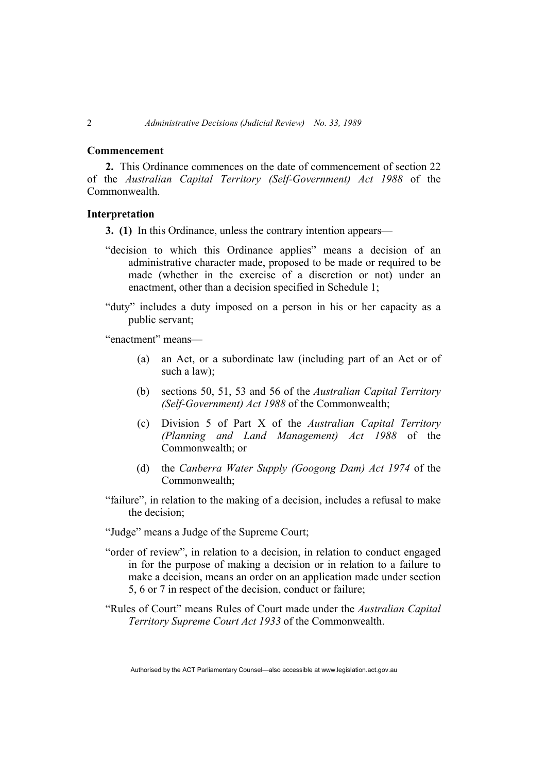# **Commencement**

**2.** This Ordinance commences on the date of commencement of section 22 of the *Australian Capital Territory (Self-Government) Act 1988* of the Commonwealth.

#### **Interpretation**

- **3. (1)** In this Ordinance, unless the contrary intention appears—
- "decision to which this Ordinance applies" means a decision of an administrative character made, proposed to be made or required to be made (whether in the exercise of a discretion or not) under an enactment, other than a decision specified in Schedule 1;
- "duty" includes a duty imposed on a person in his or her capacity as a public servant;

"enactment" means—

- (a) an Act, or a subordinate law (including part of an Act or of such a law);
- (b) sections 50, 51, 53 and 56 of the *Australian Capital Territory (Self-Government) Act 1988* of the Commonwealth;
- (c) Division 5 of Part X of the *Australian Capital Territory (Planning and Land Management) Act 1988* of the Commonwealth; or
- (d) the *Canberra Water Supply (Googong Dam) Act 1974* of the Commonwealth;
- "failure", in relation to the making of a decision, includes a refusal to make the decision;
- "Judge" means a Judge of the Supreme Court;
- "order of review", in relation to a decision, in relation to conduct engaged in for the purpose of making a decision or in relation to a failure to make a decision, means an order on an application made under section 5, 6 or 7 in respect of the decision, conduct or failure;
- "Rules of Court" means Rules of Court made under the *Australian Capital Territory Supreme Court Act 1933* of the Commonwealth.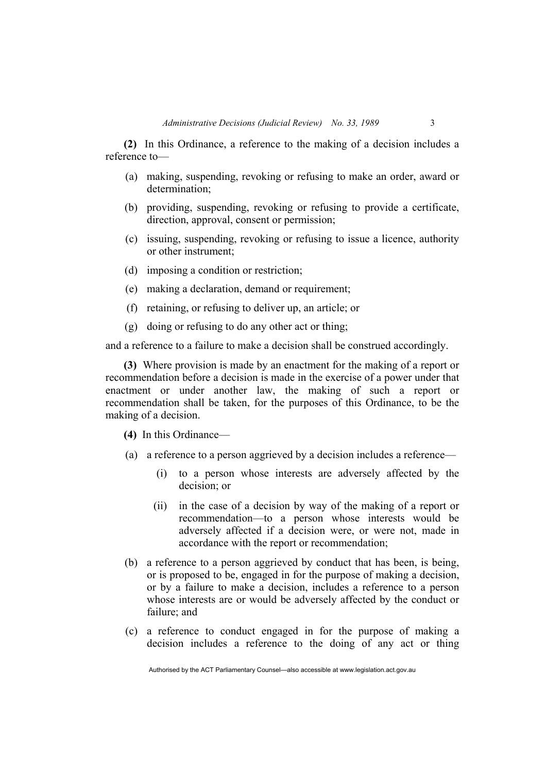**(2)** In this Ordinance, a reference to the making of a decision includes a reference to—

- (a) making, suspending, revoking or refusing to make an order, award or determination;
- (b) providing, suspending, revoking or refusing to provide a certificate, direction, approval, consent or permission;
- (c) issuing, suspending, revoking or refusing to issue a licence, authority or other instrument;
- (d) imposing a condition or restriction;
- (e) making a declaration, demand or requirement;
- (f) retaining, or refusing to deliver up, an article; or
- (g) doing or refusing to do any other act or thing;

and a reference to a failure to make a decision shall be construed accordingly.

**(3)** Where provision is made by an enactment for the making of a report or recommendation before a decision is made in the exercise of a power under that enactment or under another law, the making of such a report or recommendation shall be taken, for the purposes of this Ordinance, to be the making of a decision.

- **(4)** In this Ordinance—
- (a) a reference to a person aggrieved by a decision includes a reference—
	- (i) to a person whose interests are adversely affected by the decision; or
	- (ii) in the case of a decision by way of the making of a report or recommendation—to a person whose interests would be adversely affected if a decision were, or were not, made in accordance with the report or recommendation;
- (b) a reference to a person aggrieved by conduct that has been, is being, or is proposed to be, engaged in for the purpose of making a decision, or by a failure to make a decision, includes a reference to a person whose interests are or would be adversely affected by the conduct or failure; and
- (c) a reference to conduct engaged in for the purpose of making a decision includes a reference to the doing of any act or thing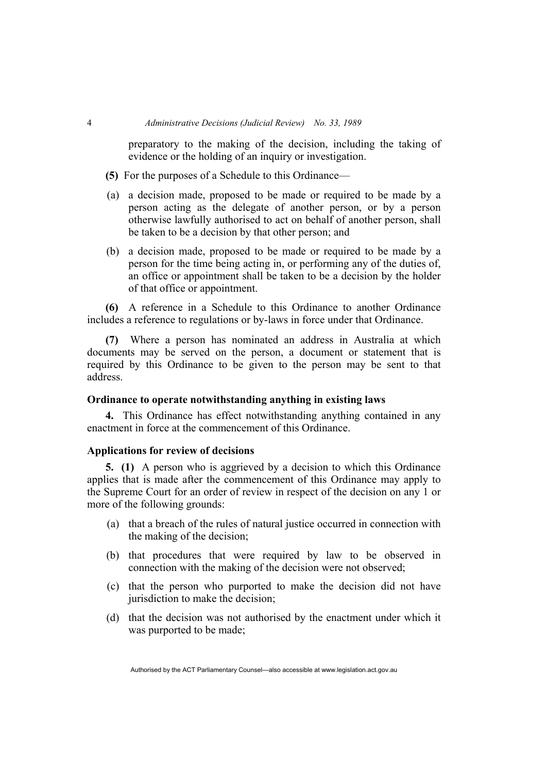preparatory to the making of the decision, including the taking of evidence or the holding of an inquiry or investigation.

- **(5)** For the purposes of a Schedule to this Ordinance—
- (a) a decision made, proposed to be made or required to be made by a person acting as the delegate of another person, or by a person otherwise lawfully authorised to act on behalf of another person, shall be taken to be a decision by that other person; and
- (b) a decision made, proposed to be made or required to be made by a person for the time being acting in, or performing any of the duties of, an office or appointment shall be taken to be a decision by the holder of that office or appointment.

**(6)** A reference in a Schedule to this Ordinance to another Ordinance includes a reference to regulations or by-laws in force under that Ordinance.

**(7)** Where a person has nominated an address in Australia at which documents may be served on the person, a document or statement that is required by this Ordinance to be given to the person may be sent to that address.

## **Ordinance to operate notwithstanding anything in existing laws**

**4.** This Ordinance has effect notwithstanding anything contained in any enactment in force at the commencement of this Ordinance.

## **Applications for review of decisions**

**5. (1)** A person who is aggrieved by a decision to which this Ordinance applies that is made after the commencement of this Ordinance may apply to the Supreme Court for an order of review in respect of the decision on any 1 or more of the following grounds:

- (a) that a breach of the rules of natural justice occurred in connection with the making of the decision;
- (b) that procedures that were required by law to be observed in connection with the making of the decision were not observed;
- (c) that the person who purported to make the decision did not have jurisdiction to make the decision;
- (d) that the decision was not authorised by the enactment under which it was purported to be made;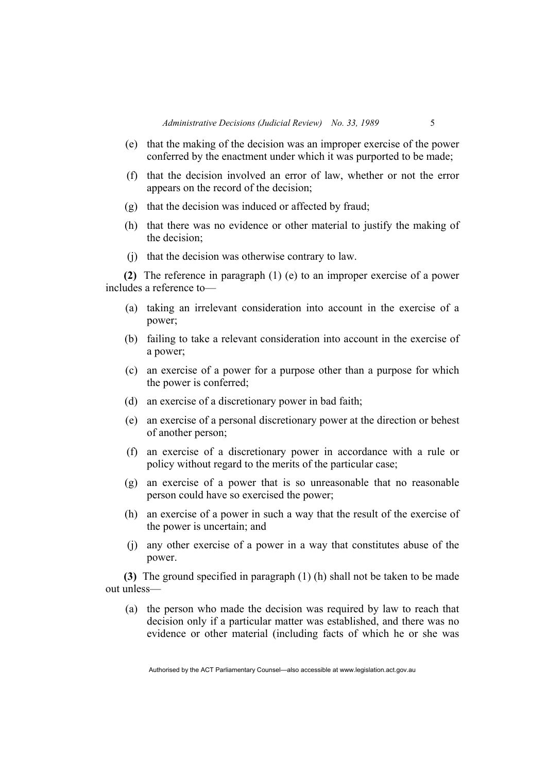- (e) that the making of the decision was an improper exercise of the power conferred by the enactment under which it was purported to be made;
- (f) that the decision involved an error of law, whether or not the error appears on the record of the decision;
- (g) that the decision was induced or affected by fraud;
- (h) that there was no evidence or other material to justify the making of the decision;
- (j) that the decision was otherwise contrary to law.

**(2)** The reference in paragraph (1) (e) to an improper exercise of a power includes a reference to—

- (a) taking an irrelevant consideration into account in the exercise of a power;
- (b) failing to take a relevant consideration into account in the exercise of a power;
- (c) an exercise of a power for a purpose other than a purpose for which the power is conferred;
- (d) an exercise of a discretionary power in bad faith;
- (e) an exercise of a personal discretionary power at the direction or behest of another person;
- (f) an exercise of a discretionary power in accordance with a rule or policy without regard to the merits of the particular case;
- (g) an exercise of a power that is so unreasonable that no reasonable person could have so exercised the power;
- (h) an exercise of a power in such a way that the result of the exercise of the power is uncertain; and
- (j) any other exercise of a power in a way that constitutes abuse of the power.

**(3)** The ground specified in paragraph (1) (h) shall not be taken to be made out unless—

 (a) the person who made the decision was required by law to reach that decision only if a particular matter was established, and there was no evidence or other material (including facts of which he or she was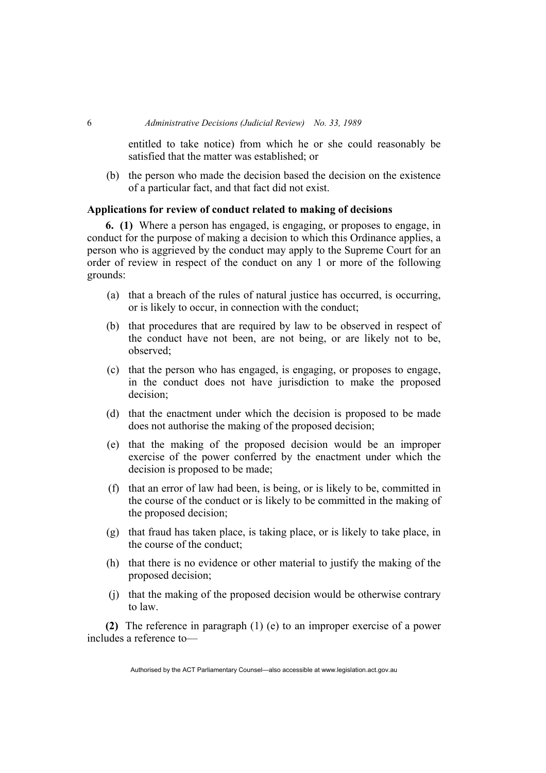entitled to take notice) from which he or she could reasonably be satisfied that the matter was established; or

 (b) the person who made the decision based the decision on the existence of a particular fact, and that fact did not exist.

# **Applications for review of conduct related to making of decisions**

**6. (1)** Where a person has engaged, is engaging, or proposes to engage, in conduct for the purpose of making a decision to which this Ordinance applies, a person who is aggrieved by the conduct may apply to the Supreme Court for an order of review in respect of the conduct on any 1 or more of the following grounds:

- (a) that a breach of the rules of natural justice has occurred, is occurring, or is likely to occur, in connection with the conduct;
- (b) that procedures that are required by law to be observed in respect of the conduct have not been, are not being, or are likely not to be, observed;
- (c) that the person who has engaged, is engaging, or proposes to engage, in the conduct does not have jurisdiction to make the proposed decision;
- (d) that the enactment under which the decision is proposed to be made does not authorise the making of the proposed decision;
- (e) that the making of the proposed decision would be an improper exercise of the power conferred by the enactment under which the decision is proposed to be made;
- (f) that an error of law had been, is being, or is likely to be, committed in the course of the conduct or is likely to be committed in the making of the proposed decision;
- (g) that fraud has taken place, is taking place, or is likely to take place, in the course of the conduct;
- (h) that there is no evidence or other material to justify the making of the proposed decision;
- (j) that the making of the proposed decision would be otherwise contrary to law.

**(2)** The reference in paragraph (1) (e) to an improper exercise of a power includes a reference to—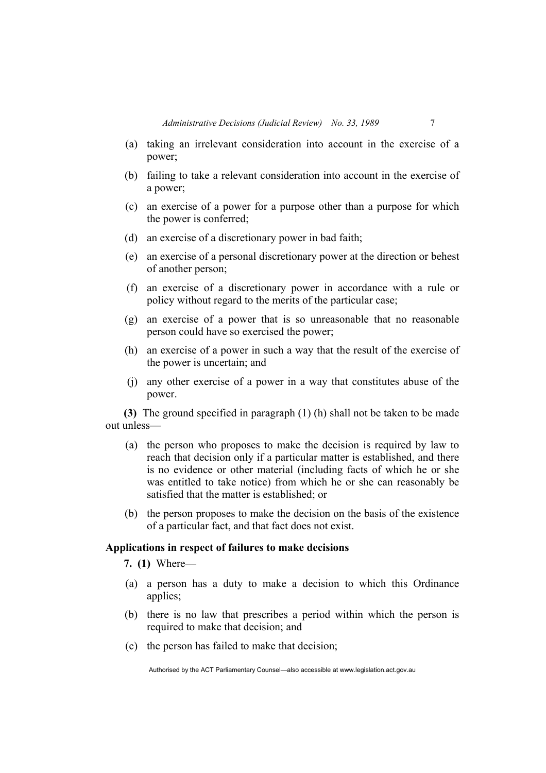- (a) taking an irrelevant consideration into account in the exercise of a power;
- (b) failing to take a relevant consideration into account in the exercise of a power;
- (c) an exercise of a power for a purpose other than a purpose for which the power is conferred;
- (d) an exercise of a discretionary power in bad faith;
- (e) an exercise of a personal discretionary power at the direction or behest of another person;
- (f) an exercise of a discretionary power in accordance with a rule or policy without regard to the merits of the particular case;
- (g) an exercise of a power that is so unreasonable that no reasonable person could have so exercised the power;
- (h) an exercise of a power in such a way that the result of the exercise of the power is uncertain; and
- (j) any other exercise of a power in a way that constitutes abuse of the power.

**(3)** The ground specified in paragraph (1) (h) shall not be taken to be made out unless—

- (a) the person who proposes to make the decision is required by law to reach that decision only if a particular matter is established, and there is no evidence or other material (including facts of which he or she was entitled to take notice) from which he or she can reasonably be satisfied that the matter is established; or
- (b) the person proposes to make the decision on the basis of the existence of a particular fact, and that fact does not exist.

# **Applications in respect of failures to make decisions**

**7. (1)** Where—

- (a) a person has a duty to make a decision to which this Ordinance applies;
- (b) there is no law that prescribes a period within which the person is required to make that decision; and
- (c) the person has failed to make that decision;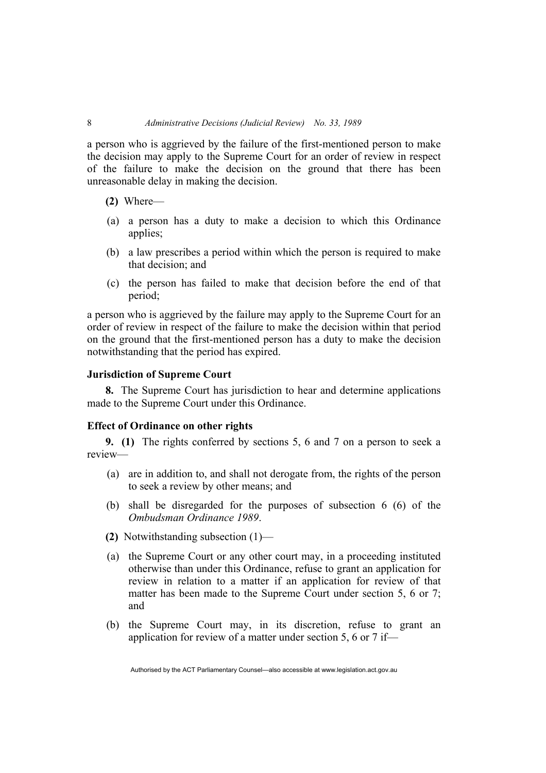a person who is aggrieved by the failure of the first-mentioned person to make the decision may apply to the Supreme Court for an order of review in respect of the failure to make the decision on the ground that there has been unreasonable delay in making the decision.

- **(2)** Where—
- (a) a person has a duty to make a decision to which this Ordinance applies;
- (b) a law prescribes a period within which the person is required to make that decision; and
- (c) the person has failed to make that decision before the end of that period;

a person who is aggrieved by the failure may apply to the Supreme Court for an order of review in respect of the failure to make the decision within that period on the ground that the first-mentioned person has a duty to make the decision notwithstanding that the period has expired.

#### **Jurisdiction of Supreme Court**

**8.** The Supreme Court has jurisdiction to hear and determine applications made to the Supreme Court under this Ordinance.

# **Effect of Ordinance on other rights**

**9. (1)** The rights conferred by sections 5, 6 and 7 on a person to seek a review—

- (a) are in addition to, and shall not derogate from, the rights of the person to seek a review by other means; and
- (b) shall be disregarded for the purposes of subsection 6 (6) of the *Ombudsman Ordinance 1989*.
- **(2)** Notwithstanding subsection (1)—
- (a) the Supreme Court or any other court may, in a proceeding instituted otherwise than under this Ordinance, refuse to grant an application for review in relation to a matter if an application for review of that matter has been made to the Supreme Court under section 5, 6 or 7; and
- (b) the Supreme Court may, in its discretion, refuse to grant an application for review of a matter under section 5, 6 or 7 if—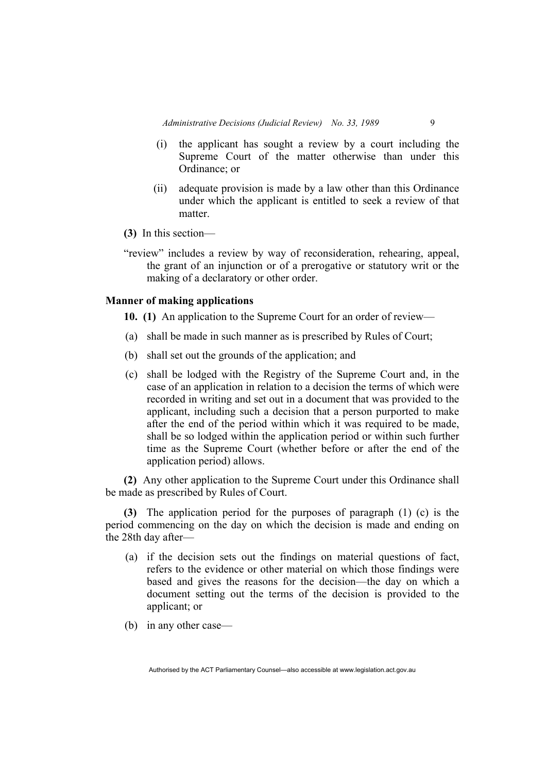- (i) the applicant has sought a review by a court including the Supreme Court of the matter otherwise than under this Ordinance; or
- (ii) adequate provision is made by a law other than this Ordinance under which the applicant is entitled to seek a review of that matter.
- **(3)** In this section—
- "review" includes a review by way of reconsideration, rehearing, appeal, the grant of an injunction or of a prerogative or statutory writ or the making of a declaratory or other order.

# **Manner of making applications**

- **10. (1)** An application to the Supreme Court for an order of review—
- (a) shall be made in such manner as is prescribed by Rules of Court;
- (b) shall set out the grounds of the application; and
- (c) shall be lodged with the Registry of the Supreme Court and, in the case of an application in relation to a decision the terms of which were recorded in writing and set out in a document that was provided to the applicant, including such a decision that a person purported to make after the end of the period within which it was required to be made, shall be so lodged within the application period or within such further time as the Supreme Court (whether before or after the end of the application period) allows.

**(2)** Any other application to the Supreme Court under this Ordinance shall be made as prescribed by Rules of Court.

**(3)** The application period for the purposes of paragraph (1) (c) is the period commencing on the day on which the decision is made and ending on the 28th day after—

- (a) if the decision sets out the findings on material questions of fact, refers to the evidence or other material on which those findings were based and gives the reasons for the decision—the day on which a document setting out the terms of the decision is provided to the applicant; or
- (b) in any other case—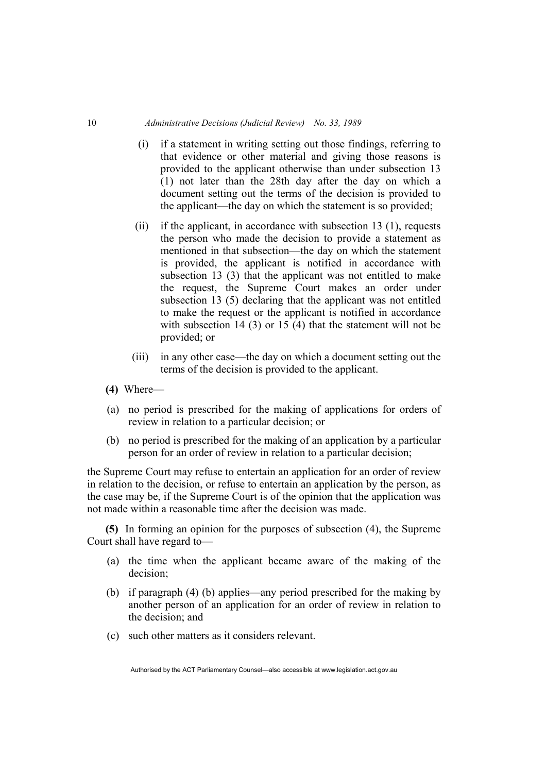- (i) if a statement in writing setting out those findings, referring to that evidence or other material and giving those reasons is provided to the applicant otherwise than under subsection 13 (1) not later than the 28th day after the day on which a document setting out the terms of the decision is provided to the applicant—the day on which the statement is so provided;
- (ii) if the applicant, in accordance with subsection 13 (1), requests the person who made the decision to provide a statement as mentioned in that subsection—the day on which the statement is provided, the applicant is notified in accordance with subsection 13 (3) that the applicant was not entitled to make the request, the Supreme Court makes an order under subsection 13 (5) declaring that the applicant was not entitled to make the request or the applicant is notified in accordance with subsection 14 (3) or 15 (4) that the statement will not be provided; or
- (iii) in any other case—the day on which a document setting out the terms of the decision is provided to the applicant.
- **(4)** Where—
- (a) no period is prescribed for the making of applications for orders of review in relation to a particular decision; or
- (b) no period is prescribed for the making of an application by a particular person for an order of review in relation to a particular decision;

the Supreme Court may refuse to entertain an application for an order of review in relation to the decision, or refuse to entertain an application by the person, as the case may be, if the Supreme Court is of the opinion that the application was not made within a reasonable time after the decision was made.

**(5)** In forming an opinion for the purposes of subsection (4), the Supreme Court shall have regard to—

- (a) the time when the applicant became aware of the making of the decision;
- (b) if paragraph (4) (b) applies—any period prescribed for the making by another person of an application for an order of review in relation to the decision; and
- (c) such other matters as it considers relevant.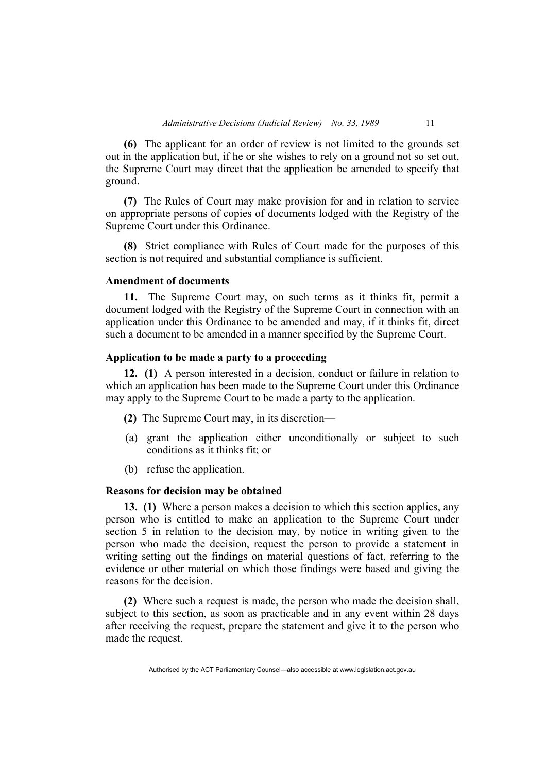**(6)** The applicant for an order of review is not limited to the grounds set out in the application but, if he or she wishes to rely on a ground not so set out, the Supreme Court may direct that the application be amended to specify that ground.

**(7)** The Rules of Court may make provision for and in relation to service on appropriate persons of copies of documents lodged with the Registry of the Supreme Court under this Ordinance.

**(8)** Strict compliance with Rules of Court made for the purposes of this section is not required and substantial compliance is sufficient.

## **Amendment of documents**

**11.** The Supreme Court may, on such terms as it thinks fit, permit a document lodged with the Registry of the Supreme Court in connection with an application under this Ordinance to be amended and may, if it thinks fit, direct such a document to be amended in a manner specified by the Supreme Court.

# **Application to be made a party to a proceeding**

**12. (1)** A person interested in a decision, conduct or failure in relation to which an application has been made to the Supreme Court under this Ordinance may apply to the Supreme Court to be made a party to the application.

- **(2)** The Supreme Court may, in its discretion—
- (a) grant the application either unconditionally or subject to such conditions as it thinks fit; or
- (b) refuse the application.

## **Reasons for decision may be obtained**

**13. (1)** Where a person makes a decision to which this section applies, any person who is entitled to make an application to the Supreme Court under section 5 in relation to the decision may, by notice in writing given to the person who made the decision, request the person to provide a statement in writing setting out the findings on material questions of fact, referring to the evidence or other material on which those findings were based and giving the reasons for the decision.

**(2)** Where such a request is made, the person who made the decision shall, subject to this section, as soon as practicable and in any event within 28 days after receiving the request, prepare the statement and give it to the person who made the request.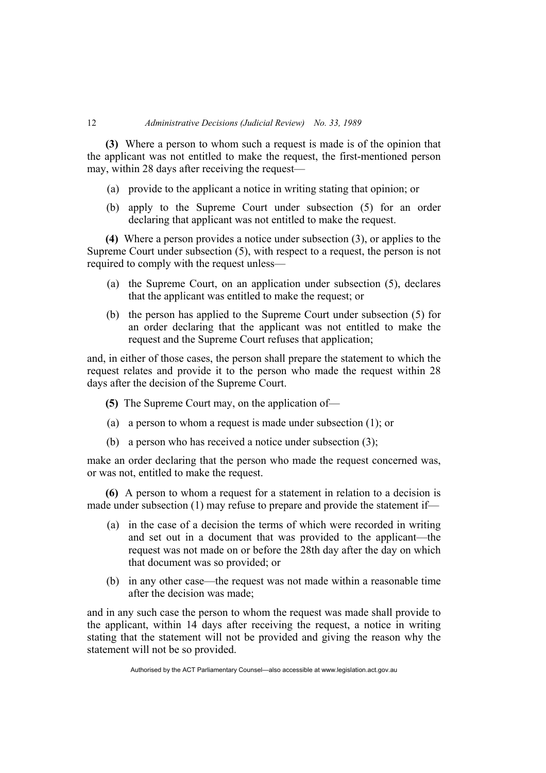**(3)** Where a person to whom such a request is made is of the opinion that the applicant was not entitled to make the request, the first-mentioned person may, within 28 days after receiving the request—

- (a) provide to the applicant a notice in writing stating that opinion; or
- (b) apply to the Supreme Court under subsection (5) for an order declaring that applicant was not entitled to make the request.

**(4)** Where a person provides a notice under subsection (3), or applies to the Supreme Court under subsection (5), with respect to a request, the person is not required to comply with the request unless—

- (a) the Supreme Court, on an application under subsection (5), declares that the applicant was entitled to make the request; or
- (b) the person has applied to the Supreme Court under subsection (5) for an order declaring that the applicant was not entitled to make the request and the Supreme Court refuses that application;

and, in either of those cases, the person shall prepare the statement to which the request relates and provide it to the person who made the request within 28 days after the decision of the Supreme Court.

- **(5)** The Supreme Court may, on the application of—
- (a) a person to whom a request is made under subsection (1); or
- (b) a person who has received a notice under subsection (3);

make an order declaring that the person who made the request concerned was. or was not, entitled to make the request.

**(6)** A person to whom a request for a statement in relation to a decision is made under subsection (1) may refuse to prepare and provide the statement if—

- (a) in the case of a decision the terms of which were recorded in writing and set out in a document that was provided to the applicant—the request was not made on or before the 28th day after the day on which that document was so provided; or
- (b) in any other case—the request was not made within a reasonable time after the decision was made;

and in any such case the person to whom the request was made shall provide to the applicant, within 14 days after receiving the request, a notice in writing stating that the statement will not be provided and giving the reason why the statement will not be so provided.

Authorised by the ACT Parliamentary Counsel—also accessible at www.legislation.act.gov.au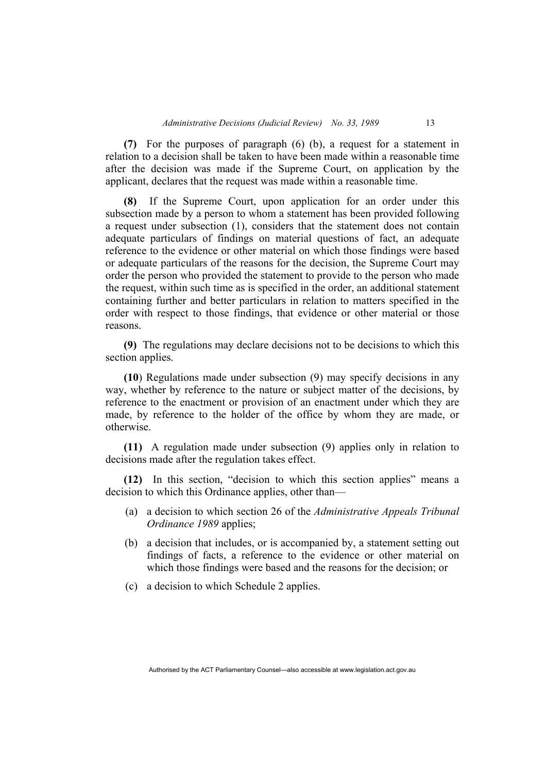**(7)** For the purposes of paragraph (6) (b), a request for a statement in relation to a decision shall be taken to have been made within a reasonable time after the decision was made if the Supreme Court, on application by the applicant, declares that the request was made within a reasonable time.

**(8)** If the Supreme Court, upon application for an order under this subsection made by a person to whom a statement has been provided following a request under subsection (1), considers that the statement does not contain adequate particulars of findings on material questions of fact, an adequate reference to the evidence or other material on which those findings were based or adequate particulars of the reasons for the decision, the Supreme Court may order the person who provided the statement to provide to the person who made the request, within such time as is specified in the order, an additional statement containing further and better particulars in relation to matters specified in the order with respect to those findings, that evidence or other material or those reasons.

**(9)** The regulations may declare decisions not to be decisions to which this section applies.

**(10**) Regulations made under subsection (9) may specify decisions in any way, whether by reference to the nature or subject matter of the decisions, by reference to the enactment or provision of an enactment under which they are made, by reference to the holder of the office by whom they are made, or otherwise.

**(11)** A regulation made under subsection (9) applies only in relation to decisions made after the regulation takes effect.

**(12)** In this section, "decision to which this section applies" means a decision to which this Ordinance applies, other than—

- (a) a decision to which section 26 of the *Administrative Appeals Tribunal Ordinance 1989* applies;
- (b) a decision that includes, or is accompanied by, a statement setting out findings of facts, a reference to the evidence or other material on which those findings were based and the reasons for the decision; or
- (c) a decision to which Schedule 2 applies.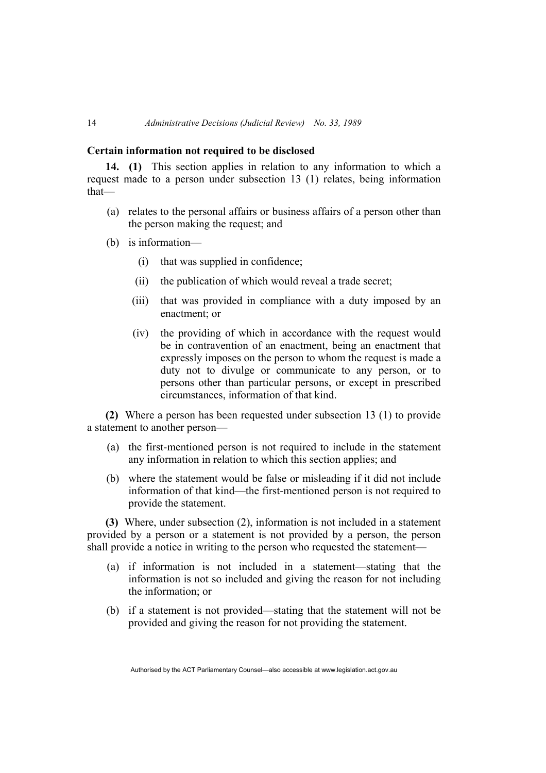## **Certain information not required to be disclosed**

**14. (1)** This section applies in relation to any information to which a request made to a person under subsection 13 (1) relates, being information that—

- (a) relates to the personal affairs or business affairs of a person other than the person making the request; and
- (b) is information—
	- (i) that was supplied in confidence;
	- (ii) the publication of which would reveal a trade secret;
	- (iii) that was provided in compliance with a duty imposed by an enactment; or
	- (iv) the providing of which in accordance with the request would be in contravention of an enactment, being an enactment that expressly imposes on the person to whom the request is made a duty not to divulge or communicate to any person, or to persons other than particular persons, or except in prescribed circumstances, information of that kind.

**(2)** Where a person has been requested under subsection 13 (1) to provide a statement to another person—

- (a) the first-mentioned person is not required to include in the statement any information in relation to which this section applies; and
- (b) where the statement would be false or misleading if it did not include information of that kind—the first-mentioned person is not required to provide the statement.

**(3)** Where, under subsection (2), information is not included in a statement provided by a person or a statement is not provided by a person, the person shall provide a notice in writing to the person who requested the statement—

- (a) if information is not included in a statement—stating that the information is not so included and giving the reason for not including the information; or
- (b) if a statement is not provided—stating that the statement will not be provided and giving the reason for not providing the statement.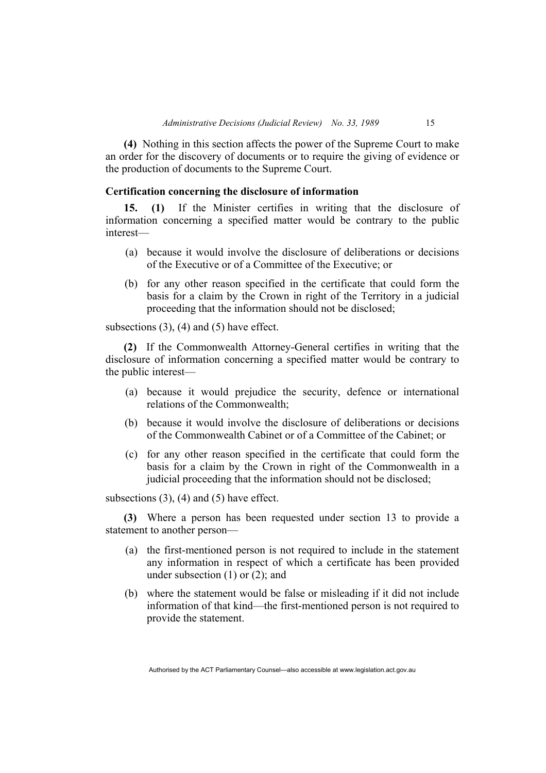**(4)** Nothing in this section affects the power of the Supreme Court to make an order for the discovery of documents or to require the giving of evidence or the production of documents to the Supreme Court.

#### **Certification concerning the disclosure of information**

**15. (1)** If the Minister certifies in writing that the disclosure of information concerning a specified matter would be contrary to the public interest—

- (a) because it would involve the disclosure of deliberations or decisions of the Executive or of a Committee of the Executive; or
- (b) for any other reason specified in the certificate that could form the basis for a claim by the Crown in right of the Territory in a judicial proceeding that the information should not be disclosed;

subsections  $(3)$ ,  $(4)$  and  $(5)$  have effect.

**(2)** If the Commonwealth Attorney-General certifies in writing that the disclosure of information concerning a specified matter would be contrary to the public interest—

- (a) because it would prejudice the security, defence or international relations of the Commonwealth;
- (b) because it would involve the disclosure of deliberations or decisions of the Commonwealth Cabinet or of a Committee of the Cabinet; or
- (c) for any other reason specified in the certificate that could form the basis for a claim by the Crown in right of the Commonwealth in a judicial proceeding that the information should not be disclosed;

subsections (3), (4) and (5) have effect.

**(3)** Where a person has been requested under section 13 to provide a statement to another person—

- (a) the first-mentioned person is not required to include in the statement any information in respect of which a certificate has been provided under subsection (1) or (2); and
- (b) where the statement would be false or misleading if it did not include information of that kind—the first-mentioned person is not required to provide the statement.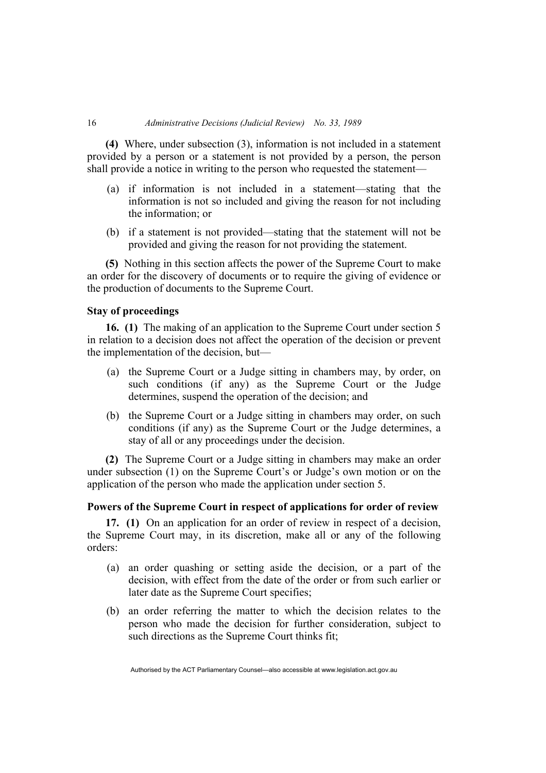**(4)** Where, under subsection (3), information is not included in a statement provided by a person or a statement is not provided by a person, the person shall provide a notice in writing to the person who requested the statement—

- (a) if information is not included in a statement—stating that the information is not so included and giving the reason for not including the information; or
- (b) if a statement is not provided—stating that the statement will not be provided and giving the reason for not providing the statement.

**(5)** Nothing in this section affects the power of the Supreme Court to make an order for the discovery of documents or to require the giving of evidence or the production of documents to the Supreme Court.

#### **Stay of proceedings**

**16. (1)** The making of an application to the Supreme Court under section 5 in relation to a decision does not affect the operation of the decision or prevent the implementation of the decision, but—

- (a) the Supreme Court or a Judge sitting in chambers may, by order, on such conditions (if any) as the Supreme Court or the Judge determines, suspend the operation of the decision; and
- (b) the Supreme Court or a Judge sitting in chambers may order, on such conditions (if any) as the Supreme Court or the Judge determines, a stay of all or any proceedings under the decision.

**(2)** The Supreme Court or a Judge sitting in chambers may make an order under subsection (1) on the Supreme Court's or Judge's own motion or on the application of the person who made the application under section 5.

# **Powers of the Supreme Court in respect of applications for order of review**

**17. (1)** On an application for an order of review in respect of a decision, the Supreme Court may, in its discretion, make all or any of the following orders:

- (a) an order quashing or setting aside the decision, or a part of the decision, with effect from the date of the order or from such earlier or later date as the Supreme Court specifies;
- (b) an order referring the matter to which the decision relates to the person who made the decision for further consideration, subject to such directions as the Supreme Court thinks fit;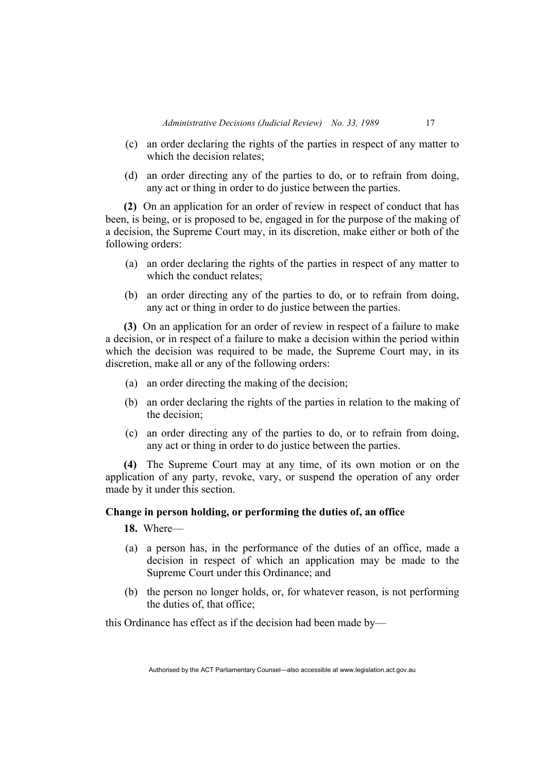- (c) an order declaring the rights of the parties in respect of any matter to which the decision relates:
- (d) an order directing any of the parties to do, or to refrain from doing, any act or thing in order to do justice between the parties.

**(2)** On an application for an order of review in respect of conduct that has been, is being, or is proposed to be, engaged in for the purpose of the making of a decision, the Supreme Court may, in its discretion, make either or both of the following orders:

- (a) an order declaring the rights of the parties in respect of any matter to which the conduct relates;
- (b) an order directing any of the parties to do, or to refrain from doing, any act or thing in order to do justice between the parties.

**(3)** On an application for an order of review in respect of a failure to make a decision, or in respect of a failure to make a decision within the period within which the decision was required to be made, the Supreme Court may, in its discretion, make all or any of the following orders:

- (a) an order directing the making of the decision;
- (b) an order declaring the rights of the parties in relation to the making of the decision;
- (c) an order directing any of the parties to do, or to refrain from doing, any act or thing in order to do justice between the parties.

**(4)** The Supreme Court may at any time, of its own motion or on the application of any party, revoke, vary, or suspend the operation of any order made by it under this section.

# **Change in person holding, or performing the duties of, an office**

**18.** Where—

- (a) a person has, in the performance of the duties of an office, made a decision in respect of which an application may be made to the Supreme Court under this Ordinance; and
- (b) the person no longer holds, or, for whatever reason, is not performing the duties of, that office;

this Ordinance has effect as if the decision had been made by—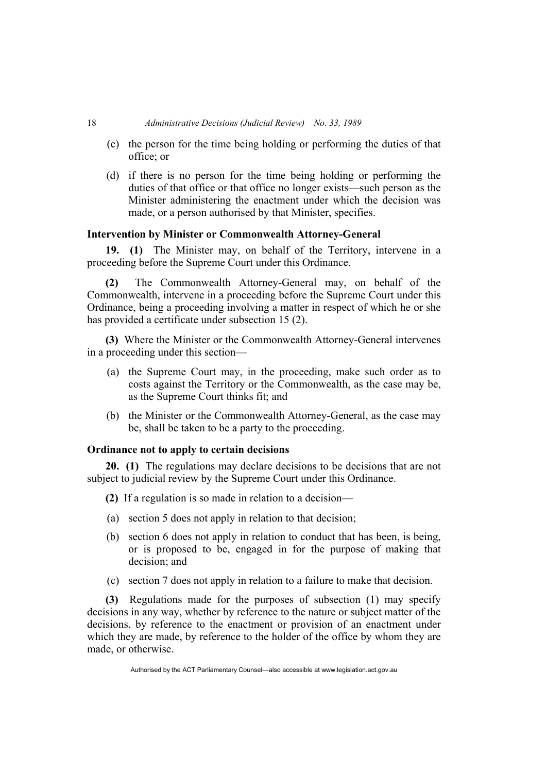- (c) the person for the time being holding or performing the duties of that office; or
- (d) if there is no person for the time being holding or performing the duties of that office or that office no longer exists—such person as the Minister administering the enactment under which the decision was made, or a person authorised by that Minister, specifies.

# **Intervention by Minister or Commonwealth Attorney-General**

**19. (1)** The Minister may, on behalf of the Territory, intervene in a proceeding before the Supreme Court under this Ordinance.

**(2)** The Commonwealth Attorney-General may, on behalf of the Commonwealth, intervene in a proceeding before the Supreme Court under this Ordinance, being a proceeding involving a matter in respect of which he or she has provided a certificate under subsection 15 (2).

**(3)** Where the Minister or the Commonwealth Attorney-General intervenes in a proceeding under this section—

- (a) the Supreme Court may, in the proceeding, make such order as to costs against the Territory or the Commonwealth, as the case may be, as the Supreme Court thinks fit; and
- (b) the Minister or the Commonwealth Attorney-General, as the case may be, shall be taken to be a party to the proceeding.

# **Ordinance not to apply to certain decisions**

**20. (1)** The regulations may declare decisions to be decisions that are not subject to judicial review by the Supreme Court under this Ordinance.

- **(2)** If a regulation is so made in relation to a decision—
- (a) section 5 does not apply in relation to that decision;
- (b) section 6 does not apply in relation to conduct that has been, is being, or is proposed to be, engaged in for the purpose of making that decision; and
- (c) section 7 does not apply in relation to a failure to make that decision.

**(3)** Regulations made for the purposes of subsection (1) may specify decisions in any way, whether by reference to the nature or subject matter of the decisions, by reference to the enactment or provision of an enactment under which they are made, by reference to the holder of the office by whom they are made, or otherwise.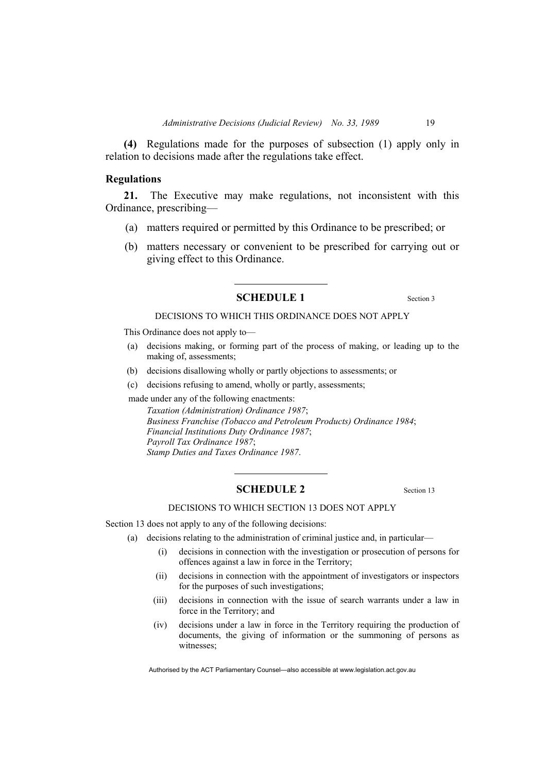**(4)** Regulations made for the purposes of subsection (1) apply only in relation to decisions made after the regulations take effect.

#### **Regulations**

**21.** The Executive may make regulations, not inconsistent with this Ordinance, prescribing—

- (a) matters required or permitted by this Ordinance to be prescribed; or
- (b) matters necessary or convenient to be prescribed for carrying out or giving effect to this Ordinance.

# **SCHEDULE 1** Section 3

#### DECISIONS TO WHICH THIS ORDINANCE DOES NOT APPLY

This Ordinance does not apply to—

- (a) decisions making, or forming part of the process of making, or leading up to the making of, assessments;
- (b) decisions disallowing wholly or partly objections to assessments; or
- (c) decisions refusing to amend, wholly or partly, assessments;
- made under any of the following enactments:

*Taxation (Administration) Ordinance 1987*; *Business Franchise (Tobacco and Petroleum Products) Ordinance 1984*; *Financial Institutions Duty Ordinance 1987*; *Payroll Tax Ordinance 1987*; *Stamp Duties and Taxes Ordinance 1987*.

# **SCHEDULE 2** Section 13

# DECISIONS TO WHICH SECTION 13 DOES NOT APPLY

Section 13 does not apply to any of the following decisions:

- (a) decisions relating to the administration of criminal justice and, in particular—
	- (i) decisions in connection with the investigation or prosecution of persons for offences against a law in force in the Territory;
	- (ii) decisions in connection with the appointment of investigators or inspectors for the purposes of such investigations;
	- (iii) decisions in connection with the issue of search warrants under a law in force in the Territory; and
	- (iv) decisions under a law in force in the Territory requiring the production of documents, the giving of information or the summoning of persons as witnesses;